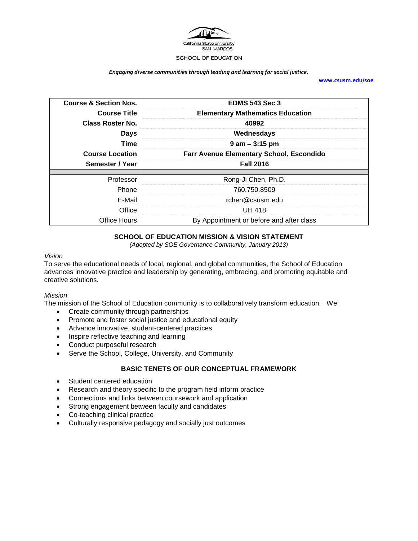

#### *Engaging diverse communities through leading and learning for social justice.*

**[www.csusm.edu/soe](http://www.csusm.edu/soe)**

| <b>Course &amp; Section Nos.</b> | <b>EDMS 543 Sec 3</b>                           |
|----------------------------------|-------------------------------------------------|
| <b>Course Title</b>              | <b>Elementary Mathematics Education</b>         |
| <b>Class Roster No.</b>          | 40992                                           |
| <b>Days</b>                      | Wednesdays                                      |
| <b>Time</b>                      | $9$ am $-3:15$ pm                               |
| <b>Course Location</b>           | <b>Farr Avenue Elementary School, Escondido</b> |
| Semester / Year                  | <b>Fall 2016</b>                                |
|                                  |                                                 |
|                                  |                                                 |
| Professor                        | Rong-Ji Chen, Ph.D.                             |
| Phone                            | 760.750.8509                                    |
| E-Mail                           | rchen@csusm.edu                                 |
| Office                           | <b>UH 418</b>                                   |

# **SCHOOL OF EDUCATION MISSION & VISION STATEMENT**

*(Adopted by SOE Governance Community, January 2013)*

#### *Vision*

To serve the educational needs of local, regional, and global communities, the School of Education advances innovative practice and leadership by generating, embracing, and promoting equitable and creative solutions.

## *Mission*

The mission of the School of Education community is to collaboratively transform education. We:

- Create community through partnerships
- Promote and foster social justice and educational equity
- Advance innovative, student-centered practices
- Inspire reflective teaching and learning
- Conduct purposeful research
- Serve the School, College, University, and Community

## **BASIC TENETS OF OUR CONCEPTUAL FRAMEWORK**

- Student centered education
- Research and theory specific to the program field inform practice
- Connections and links between coursework and application
- Strong engagement between faculty and candidates
- Co-teaching clinical practice
- Culturally responsive pedagogy and socially just outcomes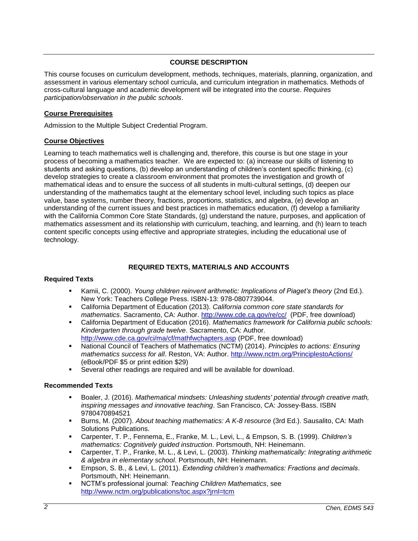## **COURSE DESCRIPTION**

This course focuses on curriculum development, methods, techniques, materials, planning, organization, and assessment in various elementary school curricula, and curriculum integration in mathematics. Methods of cross-cultural language and academic development will be integrated into the course. *Requires participation/observation in the public schools*.

## **Course Prerequisites**

Admission to the Multiple Subject Credential Program.

## **Course Objectives**

Learning to teach mathematics well is challenging and, therefore, this course is but one stage in your process of becoming a mathematics teacher. We are expected to: (a) increase our skills of listening to students and asking questions, (b) develop an understanding of children's content specific thinking, (c) develop strategies to create a classroom environment that promotes the investigation and growth of mathematical ideas and to ensure the success of all students in multi-cultural settings, (d) deepen our understanding of the mathematics taught at the elementary school level, including such topics as place value, base systems, number theory, fractions, proportions, statistics, and algebra, (e) develop an understanding of the current issues and best practices in mathematics education, (f) develop a familiarity with the California Common Core State Standards, (g) understand the nature, purposes, and application of mathematics assessment and its relationship with curriculum, teaching, and learning, and (h) learn to teach content specific concepts using effective and appropriate strategies, including the educational use of technology.

## **REQUIRED TEXTS, MATERIALS AND ACCOUNTS**

## **Required Texts**

- Kamii, C. (2000). *Young children reinvent arithmetic: Implications of Piaget's theory* (2nd Ed.). New York: Teachers College Press. ISBN-13: 978-0807739044.
- California Department of Education (2013). *California common core state standards for mathematics*. Sacramento, CA: Author.<http://www.cde.ca.gov/re/cc/>(PDF, free download)
- California Department of Education (2016). *Mathematics framework for California public schools: Kindergarten through grade twelve*. Sacramento, CA: Author. <http://www.cde.ca.gov/ci/ma/cf/mathfwchapters.asp> (PDF, free download)
- National Council of Teachers of Mathematics (NCTM) (2014). *Principles to actions: Ensuring mathematics success for all*. Reston, VA: Author.<http://www.nctm.org/PrinciplestoActions/> (eBook/PDF \$5 or print edition \$29)
- Several other readings are required and will be available for download.

## **Recommended Texts**

- Boaler, J. (2016). *Mathematical mindsets: Unleashing students' potential through creative math, inspiring messages and innovative teaching*. San Francisco, CA: Jossey-Bass. ISBN 9780470894521
- Burns, M. (2007). *About teaching mathematics: A K-8 resource* (3rd Ed.). Sausalito, CA: Math Solutions Publications.
- Carpenter, T. P., Fennema, E., Franke, M. L., Levi, L., & Empson, S. B. (1999). *Children's mathematics: Cognitively guided instruction*. Portsmouth, NH: Heinemann.
- Carpenter, T. P., Franke, M. L., & Levi, L. (2003). *Thinking mathematically: Integrating arithmetic & algebra in elementary school*. Portsmouth, NH: Heinemann.
- Empson, S. B., & Levi, L. (2011). *Extending children's mathematics: Fractions and decimals*. Portsmouth, NH: Heinemann.
- NCTM's professional journal: *Teaching Children Mathematics*, see <http://www.nctm.org/publications/toc.aspx?jrnl=tcm>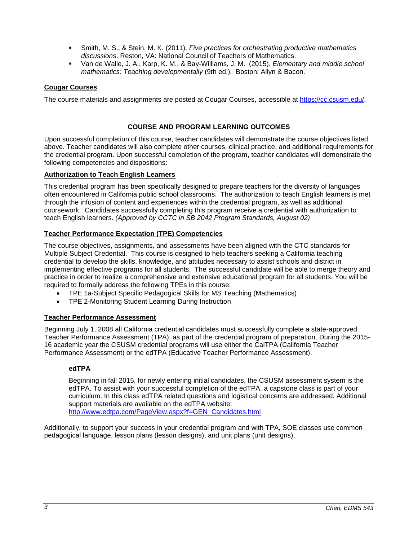- Smith, M. S., & Stein, M. K. (2011). *Five practices for orchestrating productive mathematics discussions*. Reston, VA: National Council of Teachers of Mathematics.
- Van de Walle, J. A., Karp, K. M., & Bay-Williams, J. M. (2015). *Elementary and middle school mathematics: Teaching developmentally* (9th ed.). Boston: Allyn & Bacon.

# **Cougar Courses**

The course materials and assignments are posted at Cougar Courses, accessible at [https://cc.csusm.edu/.](https://cc.csusm.edu/)

# **COURSE AND PROGRAM LEARNING OUTCOMES**

Upon successful completion of this course, teacher candidates will demonstrate the course objectives listed above. Teacher candidates will also complete other courses, clinical practice, and additional requirements for the credential program. Upon successful completion of the program, teacher candidates will demonstrate the following competencies and dispositions:

## **Authorization to Teach English Learners**

This credential program has been specifically designed to prepare teachers for the diversity of languages often encountered in California public school classrooms. The authorization to teach English learners is met through the infusion of content and experiences within the credential program, as well as additional coursework. Candidates successfully completing this program receive a credential with authorization to teach English learners. *(Approved by CCTC in SB 2042 Program Standards, August 02)*

# **Teacher Performance Expectation (TPE) Competencies**

The course objectives, assignments, and assessments have been aligned with the CTC standards for Multiple Subject Credential. This course is designed to help teachers seeking a California teaching credential to develop the skills, knowledge, and attitudes necessary to assist schools and district in implementing effective programs for all students. The successful candidate will be able to merge theory and practice in order to realize a comprehensive and extensive educational program for all students. You will be required to formally address the following TPEs in this course:

- TPE 1a-Subject Specific Pedagogical Skills for MS Teaching (Mathematics)
- TPE 2-Monitoring Student Learning During Instruction

# **Teacher Performance Assessment**

Beginning July 1, 2008 all California credential candidates must successfully complete a state-approved Teacher Performance Assessment (TPA), as part of the credential program of preparation. During the 2015- 16 academic year the CSUSM credential programs will use either the CalTPA (California Teacher Performance Assessment) or the edTPA (Educative Teacher Performance Assessment).

## **edTPA**

Beginning in fall 2015, for newly entering initial candidates, the CSUSM assessment system is the edTPA. To assist with your successful completion of the edTPA, a capstone class is part of your curriculum. In this class edTPA related questions and logistical concerns are addressed. Additional support materials are available on the edTPA website: [http://www.edtpa.com/PageView.aspx?f=GEN\\_Candidates.html](http://www.edtpa.com/PageView.aspx?f=GEN_Candidates.html)

Additionally, to support your success in your credential program and with TPA, SOE classes use common pedagogical language, lesson plans (lesson designs), and unit plans (unit designs).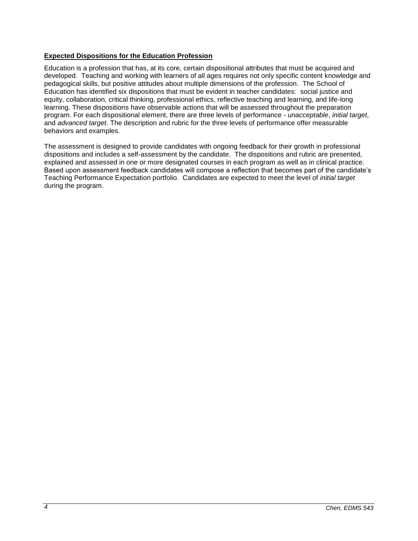# **Expected Dispositions for the Education Profession**

Education is a profession that has, at its core, certain dispositional attributes that must be acquired and developed. Teaching and working with learners of all ages requires not only specific content knowledge and pedagogical skills, but positive attitudes about multiple dimensions of the profession. The School of Education has identified six dispositions that must be evident in teacher candidates: social justice and equity, collaboration, critical thinking, professional ethics, reflective teaching and learning, and life-long learning. These dispositions have observable actions that will be assessed throughout the preparation program. For each dispositional element, there are three levels of performance - *unacceptable*, *initial target*, and *advanced target*. The description and rubric for the three levels of performance offer measurable behaviors and examples.

The assessment is designed to provide candidates with ongoing feedback for their growth in professional dispositions and includes a self-assessment by the candidate. The dispositions and rubric are presented, explained and assessed in one or more designated courses in each program as well as in clinical practice. Based upon assessment feedback candidates will compose a reflection that becomes part of the candidate's Teaching Performance Expectation portfolio. Candidates are expected to meet the level of *initial target* during the program.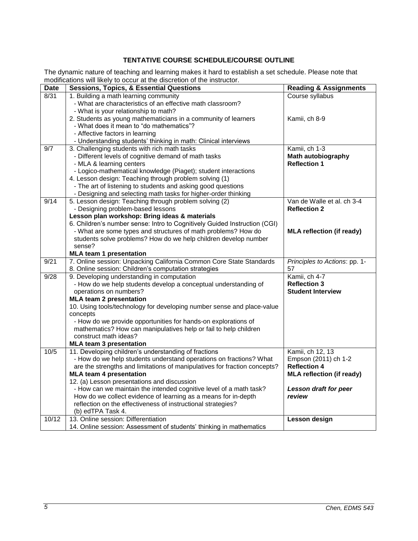# **TENTATIVE COURSE SCHEDULE/COURSE OUTLINE**

The dynamic nature of teaching and learning makes it hard to establish a set schedule. Please note that modifications will likely to occur at the discretion of the instructor.

| <b>Date</b>       | $\frac{1}{2}$ $\frac{1}{2}$<br><b>Sessions, Topics, &amp; Essential Questions</b> | <b>Reading &amp; Assignments</b> |  |
|-------------------|-----------------------------------------------------------------------------------|----------------------------------|--|
| 8/31              | 1. Building a math learning community                                             | Course syllabus                  |  |
|                   | - What are characteristics of an effective math classroom?                        |                                  |  |
|                   | - What is your relationship to math?                                              |                                  |  |
|                   | 2. Students as young mathematicians in a community of learners                    | Kamii, ch 8-9                    |  |
|                   | - What does it mean to "do mathematics"?                                          |                                  |  |
|                   | - Affective factors in learning                                                   |                                  |  |
|                   | - Understanding students' thinking in math: Clinical interviews                   |                                  |  |
| 9/7               | 3. Challenging students with rich math tasks                                      | Kamii, ch 1-3                    |  |
|                   | - Different levels of cognitive demand of math tasks                              | <b>Math autobiography</b>        |  |
|                   | - MLA & learning centers                                                          | <b>Reflection 1</b>              |  |
|                   | - Logico-mathematical knowledge (Piaget); student interactions                    |                                  |  |
|                   | 4. Lesson design: Teaching through problem solving (1)                            |                                  |  |
|                   | - The art of listening to students and asking good questions                      |                                  |  |
|                   | - Designing and selecting math tasks for higher-order thinking                    |                                  |  |
| 9/14              | 5. Lesson design: Teaching through problem solving (2)                            | Van de Walle et al. ch 3-4       |  |
|                   | - Designing problem-based lessons                                                 | <b>Reflection 2</b>              |  |
|                   | Lesson plan workshop: Bring ideas & materials                                     |                                  |  |
|                   | 6. Children's number sense: Intro to Cognitively Guided Instruction (CGI)         |                                  |  |
|                   | - What are some types and structures of math problems? How do                     | <b>MLA reflection (if ready)</b> |  |
|                   | students solve problems? How do we help children develop number                   |                                  |  |
|                   | sense?                                                                            |                                  |  |
|                   | <b>MLA team 1 presentation</b>                                                    |                                  |  |
| 9/21              | 7. Online session: Unpacking California Common Core State Standards               | Principles to Actions: pp. 1-    |  |
|                   | 8. Online session: Children's computation strategies                              | 57                               |  |
| $\overline{9/28}$ | 9. Developing understanding in computation                                        | Kamii, ch 4-7                    |  |
|                   | - How do we help students develop a conceptual understanding of                   | <b>Reflection 3</b>              |  |
|                   | operations on numbers?                                                            | <b>Student Interview</b>         |  |
|                   | <b>MLA team 2 presentation</b>                                                    |                                  |  |
|                   | 10. Using tools/technology for developing number sense and place-value            |                                  |  |
|                   | concepts                                                                          |                                  |  |
|                   | - How do we provide opportunities for hands-on explorations of                    |                                  |  |
|                   | mathematics? How can manipulatives help or fail to help children                  |                                  |  |
|                   | construct math ideas?                                                             |                                  |  |
|                   | <b>MLA team 3 presentation</b>                                                    |                                  |  |
| 10/5              | 11. Developing children's understanding of fractions                              | Kamii, ch 12, 13                 |  |
|                   | - How do we help students understand operations on fractions? What                | Empson (2011) ch 1-2             |  |
|                   | are the strengths and limitations of manipulatives for fraction concepts?         | <b>Reflection 4</b>              |  |
|                   | <b>MLA team 4 presentation</b>                                                    | <b>MLA reflection (if ready)</b> |  |
|                   | 12. (a) Lesson presentations and discussion                                       |                                  |  |
|                   | - How can we maintain the intended cognitive level of a math task?                | Lesson draft for peer            |  |
|                   | How do we collect evidence of learning as a means for in-depth                    | review                           |  |
|                   | reflection on the effectiveness of instructional strategies?                      |                                  |  |
|                   | (b) edTPA Task 4.                                                                 |                                  |  |
| 10/12             | 13. Online session: Differentiation                                               | <b>Lesson design</b>             |  |
|                   | 14. Online session: Assessment of students' thinking in mathematics               |                                  |  |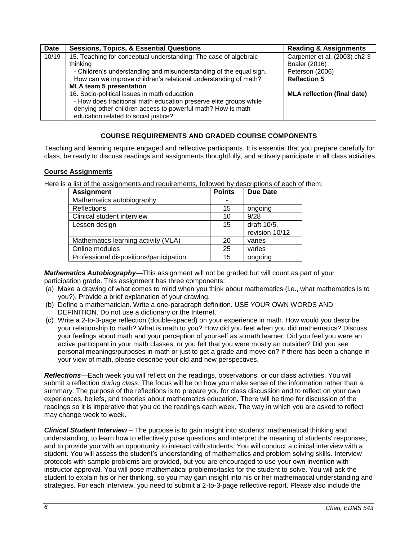| <b>Date</b> | <b>Sessions, Topics, &amp; Essential Questions</b>                 | <b>Reading &amp; Assignments</b>   |
|-------------|--------------------------------------------------------------------|------------------------------------|
| 10/19       | 15. Teaching for conceptual understanding: The case of algebraic   | Carpenter et al. (2003) ch2-3      |
|             | thinking                                                           | Boaler (2016)                      |
|             | - Children's understanding and misunderstanding of the equal sign. | Peterson (2006)                    |
|             | How can we improve children's relational understanding of math?    | <b>Reflection 5</b>                |
|             | <b>MLA team 5 presentation</b>                                     |                                    |
|             | 16. Socio-political issues in math education                       | <b>MLA reflection (final date)</b> |
|             | - How does traditional math education preserve elite groups while  |                                    |
|             | denying other children access to powerful math? How is math        |                                    |
|             | education related to social justice?                               |                                    |

# **COURSE REQUIREMENTS AND GRADED COURSE COMPONENTS**

Teaching and learning require engaged and reflective participants. It is essential that you prepare carefully for class, be ready to discuss readings and assignments thoughtfully, and actively participate in all class activities.

## **Course Assignments**

Here is a list of the assignments and requirements, followed by descriptions of each of them:

| <b>Assignment</b>                       | <b>Points</b> | <b>Due Date</b> |
|-----------------------------------------|---------------|-----------------|
| Mathematics autobiography               |               |                 |
| Reflections                             | 15            | ongoing         |
| Clinical student interview              | 10            | 9/28            |
| Lesson design                           | 15            | draft 10/5,     |
|                                         |               | revision 10/12  |
| Mathematics learning activity (MLA)     | 20            | varies          |
| Online modules                          | 25            | varies          |
| Professional dispositions/participation | 15            | ongoing         |

*Mathematics Autobiography*—This assignment will not be graded but will count as part of your participation grade. This assignment has three components:

- (a) Make a drawing of what comes to mind when you think about mathematics (i.e., what mathematics is to you?). Provide a brief explanation of your drawing.
- (b) Define a mathematician. Write a one-paragraph definition. USE YOUR OWN WORDS AND DEFINITION. Do not use a dictionary or the Internet.
- (c) Write a 2-to-3-page reflection (double-spaced) on your experience in math. How would you describe your relationship to math? What is math to you? How did you feel when you did mathematics? Discuss your feelings about math and your perception of yourself as a math learner. Did you feel you were an active participant in your math classes, or you felt that you were mostly an outsider? Did you see personal meanings/purposes in math or just to get a grade and move on? If there has been a change in your view of math, please describe your old and new perspectives.

*Reflections*—Each week you will reflect on the readings, observations, or our class activities. You will submit a reflection *during class*. The focus will be on how you make sense of the information rather than a summary. The purpose of the reflections is to prepare you for class discussion and to reflect on your own experiences, beliefs, and theories about mathematics education. There will be time for discussion of the readings so it is imperative that you do the readings each week. The way in which you are asked to reflect may change week to week.

*Clinical Student Interview* – The purpose is to gain insight into students' mathematical thinking and understanding, to learn how to effectively pose questions and interpret the meaning of students' responses, and to provide you with an opportunity to interact with students. You will conduct a clinical interview with a student. You will assess the student's understanding of mathematics and problem solving skills. Interview protocols with sample problems are provided, but you are encouraged to use your own invention with instructor approval. You will pose mathematical problems/tasks for the student to solve. You will ask the student to explain his or her thinking, so you may gain insight into his or her mathematical understanding and strategies. For each interview, you need to submit a 2-to-3-page reflective report. Please also include the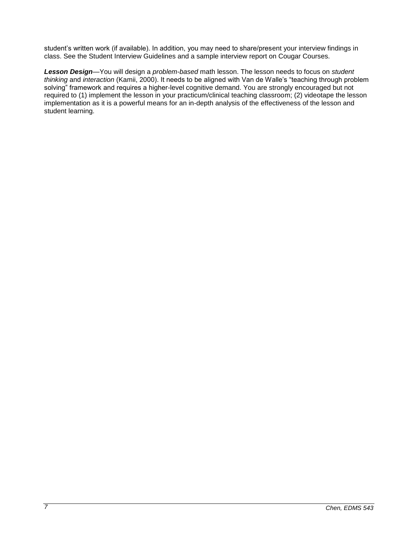student's written work (if available). In addition, you may need to share/present your interview findings in class. See the Student Interview Guidelines and a sample interview report on Cougar Courses.

*Lesson Design*—You will design a *problem-based* math lesson. The lesson needs to focus on *student thinking* and *interaction* (Kamii, 2000). It needs to be aligned with Van de Walle's "teaching through problem solving" framework and requires a higher-level cognitive demand. You are strongly encouraged but not required to (1) implement the lesson in your practicum/clinical teaching classroom; (2) videotape the lesson implementation as it is a powerful means for an in-depth analysis of the effectiveness of the lesson and student learning.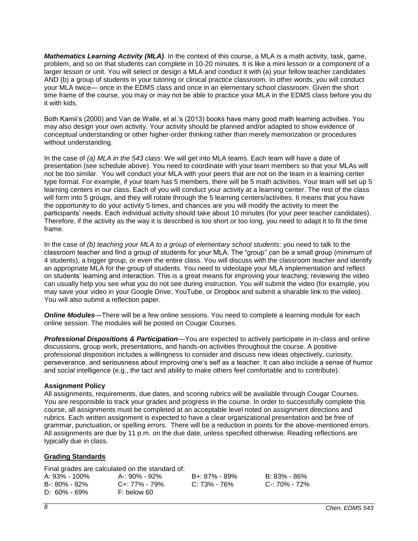*Mathematics Learning Activity (MLA)*. In the context of this course, a MLA is a math activity, task, game, problem, and so on that students can complete in 10-20 minutes. It is like a mini lesson or a component of a larger lesson or unit. You will select or design a MLA and conduct it with (a) your fellow teacher candidates AND (b) a group of students in your tutoring or clinical practice classroom. In other words, you will conduct your MLA twice— once in the EDMS class and once in an elementary school classroom. Given the short time frame of the course, you may or may not be able to practice your MLA in the EDMS class before you do it with kids.

Both Kamii's (2000) and Van de Walle, et al.'s (2013) books have many good math learning activities. You may also design your own activity. Your activity should be planned and/or adapted to show evidence of conceptual understanding or other higher-order thinking rather than merely memorization or procedures without understanding.

In the case of *(a) MLA in the 543 class*: We will get into MLA teams. Each team will have a date of presentation (see schedule above). You need to coordinate with your team members so that your MLAs will not be too similar. You will conduct your MLA with your peers that are not on the team in a learning center type format. For example, if your team has 5 members, there will be 5 math activities. Your team will set up 5 learning centers in our class. Each of you will conduct your activity at a learning center. The rest of the class will form into 5 groups, and they will rotate through the 5 learning centers/activities. It means that you have the opportunity to do your activity 5 times, and chances are you will modify the activity to meet the participants' needs. Each individual activity should take about 10 minutes (for your peer teacher candidates). Therefore, if the activity as the way it is described is too short or too long, you need to adapt it to fit the time frame.

In the case of *(b) teaching your MLA to a group of elementary school students*: you need to talk to the classroom teacher and find a group of students for your MLA. The "group" can be a small group (minimum of 4 students), a bigger group, or even the entire class. You will discuss with the classroom teacher and identify an appropriate MLA for the group of students. You need to videotape your MLA implementation and reflect on students' learning and interaction. This is a great means for improving your teaching; reviewing the video can usually help you see what you do not see during instruction. You will submit the video (for example, you may save your video in your Google Drive, YouTube, or Dropbox and submit a sharable link to the video). You will also submit a reflection paper.

**Online Modules**—There will be a few online sessions. You need to complete a learning module for each online session. The modules will be posted on Cougar Courses.

*Professional Dispositions & Participation*—You are expected to actively participate in in-class and online discussions, group work, presentations, and hands-on activities throughout the course. A positive professional disposition includes a willingness to consider and discuss new ideas objectively, curiosity, perseverance, and seriousness about improving one's self as a teacher. It can also include a sense of humor and social intelligence (e.g., the tact and ability to make others feel comfortable and to contribute).

## **Assignment Policy**

All assignments, requirements, due dates, and scoring rubrics will be available through Cougar Courses. You are responsible to track your grades and progress in the course. In order to successfully complete this course, all assignments must be completed at an acceptable level noted on assignment directions and rubrics. Each written assignment is expected to have a clear organizational presentation and be free of grammar, punctuation, or spelling errors. There will be a reduction in points for the above-mentioned errors. All assignments are due by 11 p.m. on the due date, unless specified otherwise. Reading reflections are typically due in class.

## **Grading Standards**

Final grades are calculated on the standard of:

| A: 93% - 100% | A-: 90% - 92% | B+: 87% - 89% | B: 83% - 86%  |
|---------------|---------------|---------------|---------------|
| B-: 80% - 82% | C+: 77% - 79% | C: 73% - 76%  | C-: 70% - 72% |
| D: 60% - 69%  | F: below 60   |               |               |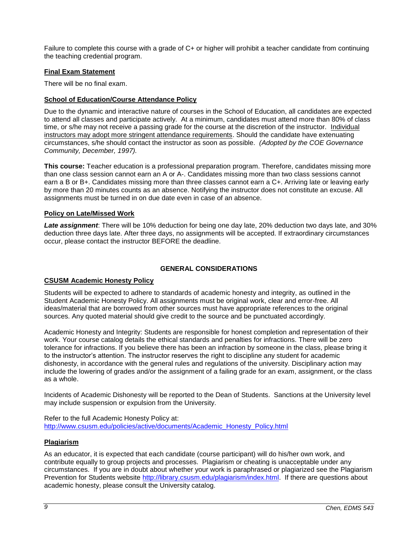Failure to complete this course with a grade of C+ or higher will prohibit a teacher candidate from continuing the teaching credential program.

## **Final Exam Statement**

There will be no final exam.

# **School of Education/Course Attendance Policy**

Due to the dynamic and interactive nature of courses in the School of Education, all candidates are expected to attend all classes and participate actively. At a minimum, candidates must attend more than 80% of class time, or s/he may not receive a passing grade for the course at the discretion of the instructor. Individual instructors may adopt more stringent attendance requirements. Should the candidate have extenuating circumstances, s/he should contact the instructor as soon as possible. *(Adopted by the COE Governance Community, December, 1997).*

**This course:** Teacher education is a professional preparation program. Therefore, candidates missing more than one class session cannot earn an A or A-. Candidates missing more than two class sessions cannot earn a B or B+. Candidates missing more than three classes cannot earn a C+. Arriving late or leaving early by more than 20 minutes counts as an absence. Notifying the instructor does not constitute an excuse. All assignments must be turned in on due date even in case of an absence.

# **Policy on Late/Missed Work**

*Late assignment*: There will be 10% deduction for being one day late, 20% deduction two days late, and 30% deduction three days late. After three days, no assignments will be accepted. If extraordinary circumstances occur, please contact the instructor BEFORE the deadline.

# **GENERAL CONSIDERATIONS**

# **CSUSM Academic Honesty Policy**

Students will be expected to adhere to standards of academic honesty and integrity, as outlined in the Student Academic Honesty Policy. All assignments must be original work, clear and error-free. All ideas/material that are borrowed from other sources must have appropriate references to the original sources. Any quoted material should give credit to the source and be punctuated accordingly.

Academic Honesty and Integrity: Students are responsible for honest completion and representation of their work. Your course catalog details the ethical standards and penalties for infractions. There will be zero tolerance for infractions. If you believe there has been an infraction by someone in the class, please bring it to the instructor's attention. The instructor reserves the right to discipline any student for academic dishonesty, in accordance with the general rules and regulations of the university. Disciplinary action may include the lowering of grades and/or the assignment of a failing grade for an exam, assignment, or the class as a whole.

Incidents of Academic Dishonesty will be reported to the Dean of Students. Sanctions at the University level may include suspension or expulsion from the University.

Refer to the full Academic Honesty Policy at: [http://www.csusm.edu/policies/active/documents/Academic\\_Honesty\\_Policy.html](http://www.csusm.edu/policies/active/documents/Academic_Honesty_Policy.html)

# **Plagiarism**

As an educator, it is expected that each candidate (course participant) will do his/her own work, and contribute equally to group projects and processes. Plagiarism or cheating is unacceptable under any circumstances. If you are in doubt about whether your work is paraphrased or plagiarized see the Plagiarism Prevention for Students website [http://library.csusm.edu/plagiarism/index.html.](http://library.csusm.edu/plagiarism/index.html) If there are questions about academic honesty, please consult the University catalog.